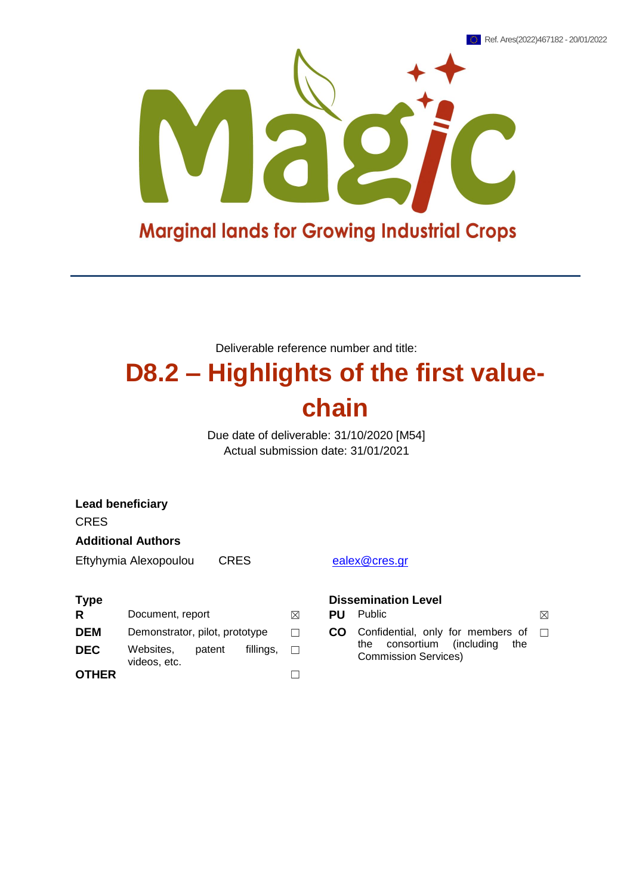

Deliverable reference number and title:

## **D8.2 – Highlights of the first valuechain**

Due date of deliverable: 31/10/2020 [M54] Actual submission date: 31/01/2021

| <b>Lead beneficiary</b>       |                                |        |           |                            |               |                                                                        |
|-------------------------------|--------------------------------|--------|-----------|----------------------------|---------------|------------------------------------------------------------------------|
| <b>CRES</b>                   |                                |        |           |                            |               |                                                                        |
| <b>Additional Authors</b>     |                                |        |           |                            |               |                                                                        |
| CRES<br>Eftyhymia Alexopoulou |                                |        |           |                            | ealex@cres.gr |                                                                        |
|                               |                                |        |           |                            |               |                                                                        |
| <b>Type</b>                   |                                |        |           | <b>Dissemination Level</b> |               |                                                                        |
| R                             | Document, report               |        |           | ⊠                          | <b>PU</b>     | <b>Public</b>                                                          |
| <b>DEM</b>                    | Demonstrator, pilot, prototype |        |           | П                          | <b>CO</b>     | Confidential, only for members of                                      |
| <b>DEC</b>                    | Websites,<br>videos, etc.      | patent | fillings, | П                          |               | consortium<br>(including)<br>the<br>the<br><b>Commission Services)</b> |

**OTHER** ☐

## **Dissemination Level**

**R PU** Public  $\boxtimes$ the consortium (including the Commission Services)  $\Box$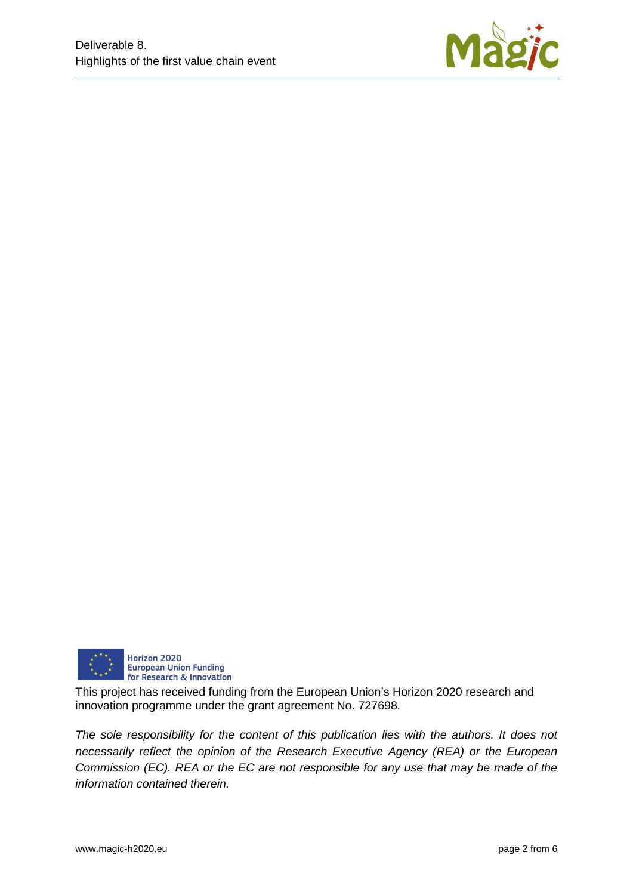



This project has received funding from the European Union's Horizon 2020 research and innovation programme under the grant agreement No. 727698.

*The sole responsibility for the content of this publication lies with the authors. It does not necessarily reflect the opinion of the Research Executive Agency (REA) or the European Commission (EC). REA or the EC are not responsible for any use that may be made of the information contained therein.*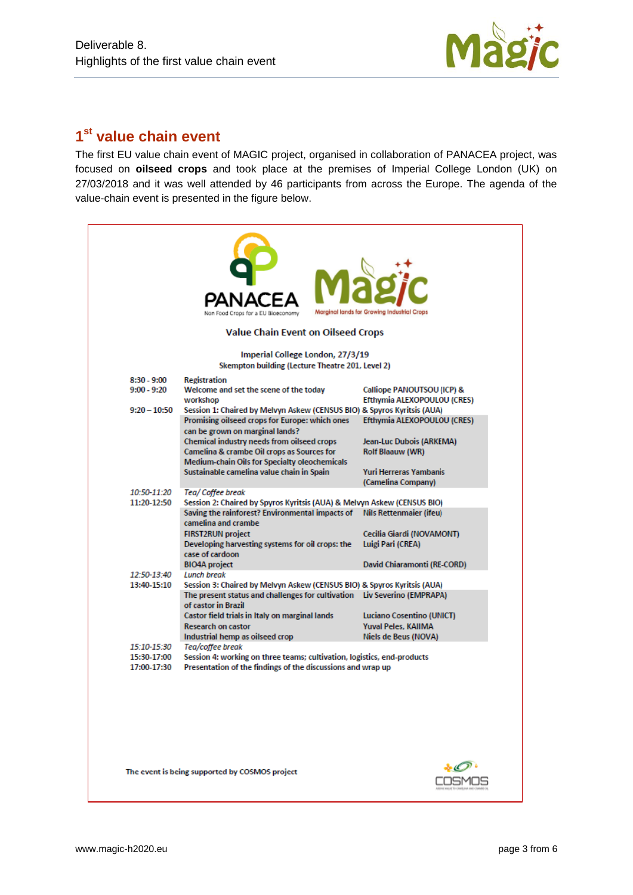

## **1 st value chain event**

The first EU value chain event of MAGIC project, organised in collaboration of PANACEA project, was focused on **oilseed crops** and took place at the premises of Imperial College London (UK) on 27/03/2018 and it was well attended by 46 participants from across the Europe. The agenda of the value-chain event is presented in the figure below.

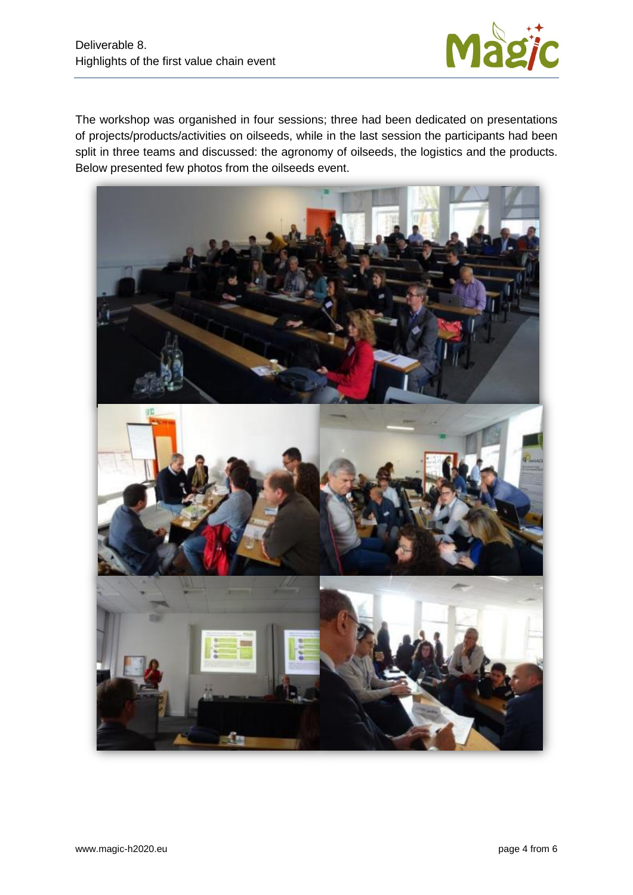

The workshop was organished in four sessions; three had been dedicated on presentations of projects/products/activities on oilseeds, while in the last session the participants had been split in three teams and discussed: the agronomy of oilseeds, the logistics and the products. Below presented few photos from the oilseeds event.

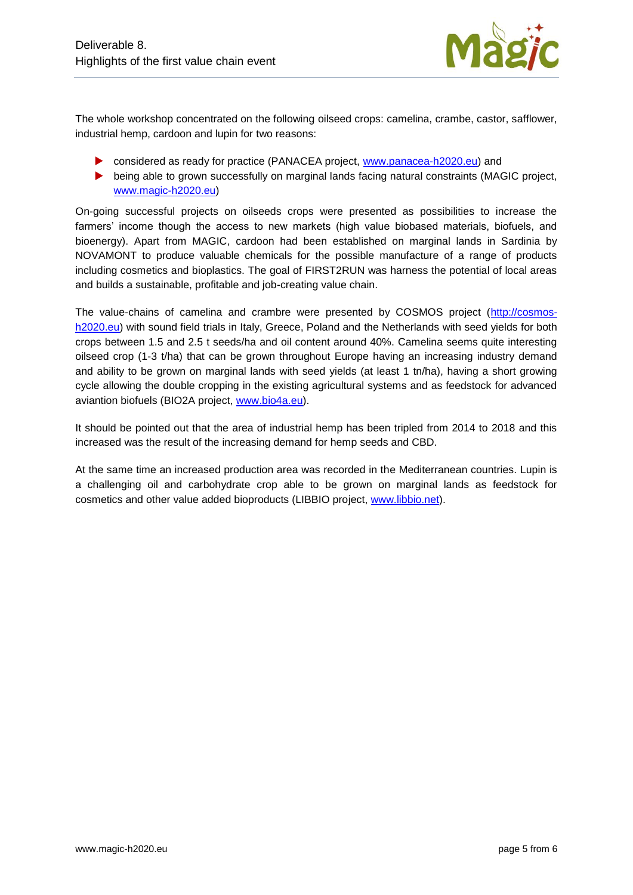

The whole workshop concentrated on the following oilseed crops: camelina, crambe, castor, safflower, industrial hemp, cardoon and lupin for two reasons:

- considered as ready for practice (PANACEA project, [www.panacea-h2020.eu\)](http://www.panacea-h2020.eu/) and
- being able to grown successfully on marginal lands facing natural constraints (MAGIC project, [www.magic-h2020.eu\)](http://www.magic-h2020.eu/)

On-going successful projects on oilseeds crops were presented as possibilities to increase the farmers' income though the access to new markets (high value biobased materials, biofuels, and bioenergy). Apart from MAGIC, cardoon had been established on marginal lands in Sardinia by NOVAMONT to produce valuable chemicals for the possible manufacture of a range of products including cosmetics and bioplastics. The goal of FIRST2RUN was harness the potential of local areas and builds a sustainable, profitable and job-creating value chain.

The value-chains of camelina and crambre were presented by COSMOS project [\(http://cosmos](http://cosmos-h2020.eu/)h<sub>2020.eu</sub>) with sound field trials in Italy, Greece, Poland and the Netherlands with seed yields for both crops between 1.5 and 2.5 t seeds/ha and oil content around 40%. Camelina seems quite interesting oilseed crop (1-3 t/ha) that can be grown throughout Europe having an increasing industry demand and ability to be grown on marginal lands with seed yields (at least 1 tn/ha), having a short growing cycle allowing the double cropping in the existing agricultural systems and as feedstock for advanced aviantion biofuels (BIO2A project, [www.bio4a.eu\)](http://www.bio4a.eu/).

It should be pointed out that the area of industrial hemp has been tripled from 2014 to 2018 and this increased was the result of the increasing demand for hemp seeds and CBD.

At the same time an increased production area was recorded in the Mediterranean countries. Lupin is a challenging oil and carbohydrate crop able to be grown on marginal lands as feedstock for cosmetics and other value added bioproducts (LIBBIO project, [www.libbio.net\)](http://www.libbio.net/).